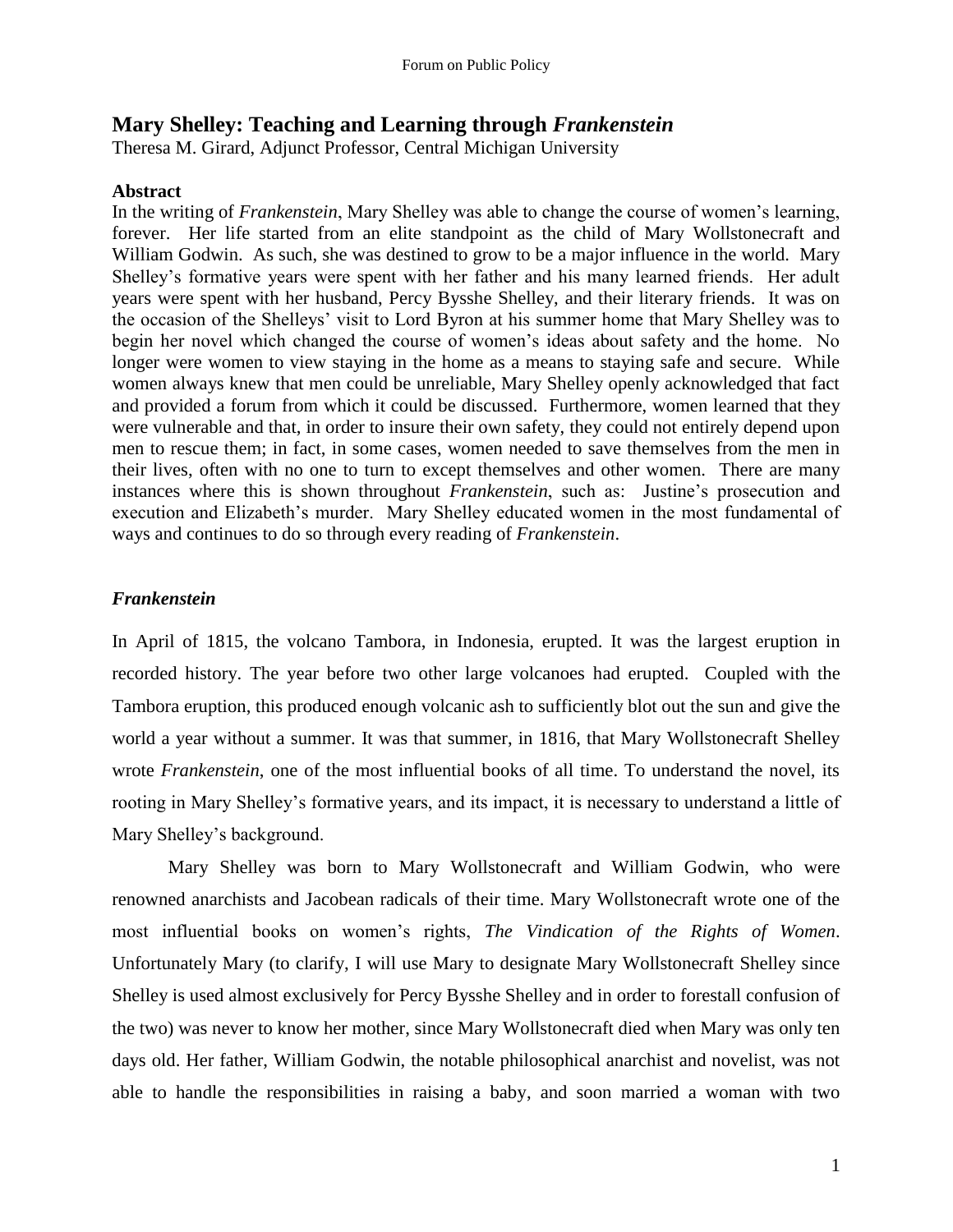## **Mary Shelley: Teaching and Learning through** *Frankenstein*

Theresa M. Girard, Adjunct Professor, Central Michigan University

## **Abstract**

In the writing of *Frankenstein*, Mary Shelley was able to change the course of women's learning, forever. Her life started from an elite standpoint as the child of Mary Wollstonecraft and William Godwin. As such, she was destined to grow to be a major influence in the world. Mary Shelley's formative years were spent with her father and his many learned friends. Her adult years were spent with her husband, Percy Bysshe Shelley, and their literary friends. It was on the occasion of the Shelleys' visit to Lord Byron at his summer home that Mary Shelley was to begin her novel which changed the course of women's ideas about safety and the home. No longer were women to view staying in the home as a means to staying safe and secure. While women always knew that men could be unreliable, Mary Shelley openly acknowledged that fact and provided a forum from which it could be discussed. Furthermore, women learned that they were vulnerable and that, in order to insure their own safety, they could not entirely depend upon men to rescue them; in fact, in some cases, women needed to save themselves from the men in their lives, often with no one to turn to except themselves and other women. There are many instances where this is shown throughout *Frankenstein*, such as: Justine's prosecution and execution and Elizabeth's murder. Mary Shelley educated women in the most fundamental of ways and continues to do so through every reading of *Frankenstein*.

## *Frankenstein*

In April of 1815, the volcano Tambora, in Indonesia, erupted. It was the largest eruption in recorded history. The year before two other large volcanoes had erupted. Coupled with the Tambora eruption, this produced enough volcanic ash to sufficiently blot out the sun and give the world a year without a summer. It was that summer, in 1816, that Mary Wollstonecraft Shelley wrote *Frankenstein*, one of the most influential books of all time. To understand the novel, its rooting in Mary Shelley's formative years, and its impact, it is necessary to understand a little of Mary Shelley's background.

Mary Shelley was born to Mary Wollstonecraft and William Godwin, who were renowned anarchists and Jacobean radicals of their time. Mary Wollstonecraft wrote one of the most influential books on women's rights, *The Vindication of the Rights of Women*. Unfortunately Mary (to clarify, I will use Mary to designate Mary Wollstonecraft Shelley since Shelley is used almost exclusively for Percy Bysshe Shelley and in order to forestall confusion of the two) was never to know her mother, since Mary Wollstonecraft died when Mary was only ten days old. Her father, William Godwin, the notable philosophical anarchist and novelist, was not able to handle the responsibilities in raising a baby, and soon married a woman with two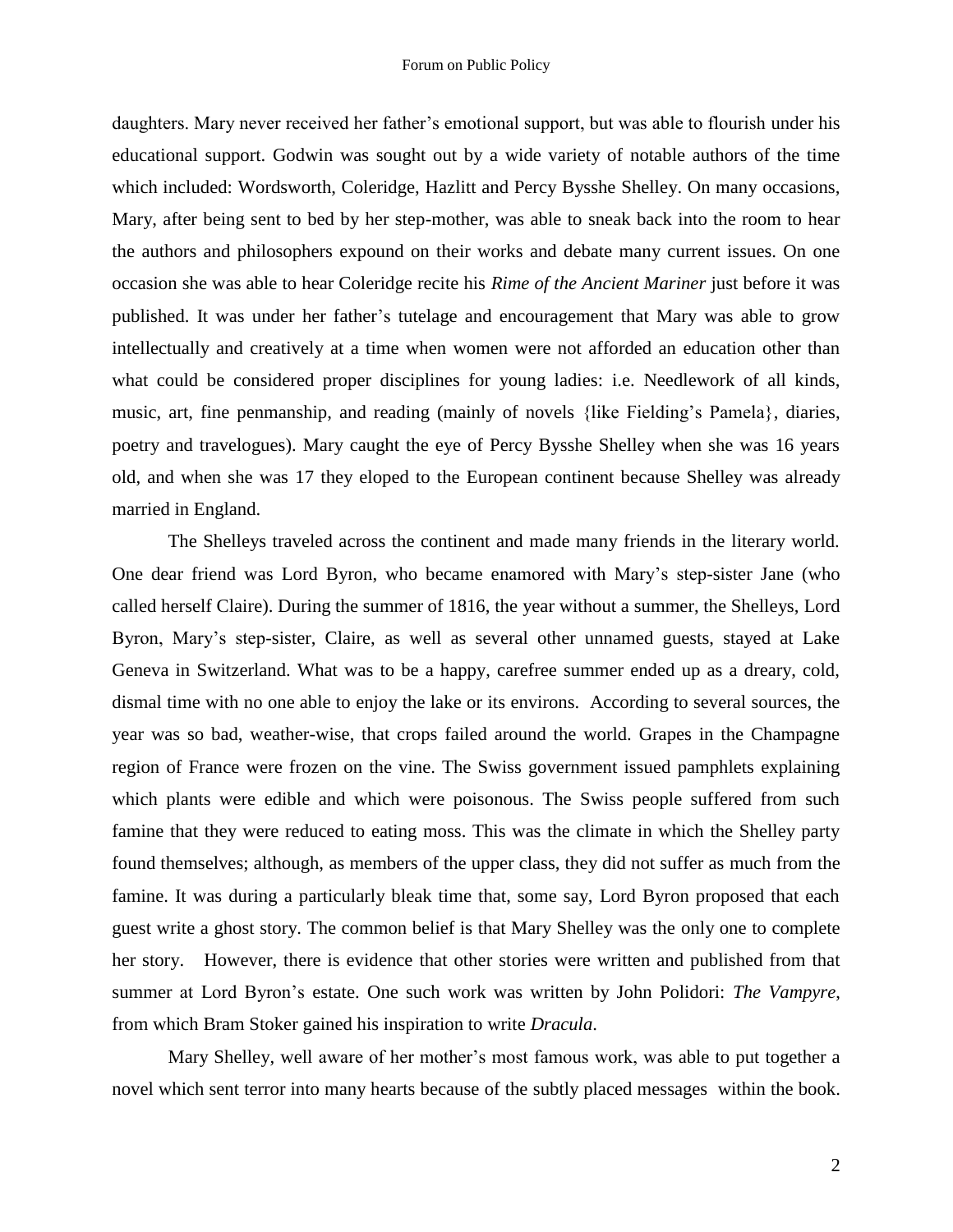daughters. Mary never received her father's emotional support, but was able to flourish under his educational support. Godwin was sought out by a wide variety of notable authors of the time which included: Wordsworth, Coleridge, Hazlitt and Percy Bysshe Shelley. On many occasions, Mary, after being sent to bed by her step-mother, was able to sneak back into the room to hear the authors and philosophers expound on their works and debate many current issues. On one occasion she was able to hear Coleridge recite his *Rime of the Ancient Mariner* just before it was published. It was under her father's tutelage and encouragement that Mary was able to grow intellectually and creatively at a time when women were not afforded an education other than what could be considered proper disciplines for young ladies: i.e. Needlework of all kinds, music, art, fine penmanship, and reading (mainly of novels {like Fielding's Pamela}, diaries, poetry and travelogues). Mary caught the eye of Percy Bysshe Shelley when she was 16 years old, and when she was 17 they eloped to the European continent because Shelley was already married in England.

The Shelleys traveled across the continent and made many friends in the literary world. One dear friend was Lord Byron, who became enamored with Mary's step-sister Jane (who called herself Claire). During the summer of 1816, the year without a summer, the Shelleys, Lord Byron, Mary's step-sister, Claire, as well as several other unnamed guests, stayed at Lake Geneva in Switzerland. What was to be a happy, carefree summer ended up as a dreary, cold, dismal time with no one able to enjoy the lake or its environs. According to several sources, the year was so bad, weather-wise, that crops failed around the world. Grapes in the Champagne region of France were frozen on the vine. The Swiss government issued pamphlets explaining which plants were edible and which were poisonous. The Swiss people suffered from such famine that they were reduced to eating moss. This was the climate in which the Shelley party found themselves; although, as members of the upper class, they did not suffer as much from the famine. It was during a particularly bleak time that, some say, Lord Byron proposed that each guest write a ghost story. The common belief is that Mary Shelley was the only one to complete her story. However, there is evidence that other stories were written and published from that summer at Lord Byron's estate. One such work was written by John Polidori: *The Vampyre*, from which Bram Stoker gained his inspiration to write *Dracula*.

Mary Shelley, well aware of her mother's most famous work, was able to put together a novel which sent terror into many hearts because of the subtly placed messages within the book.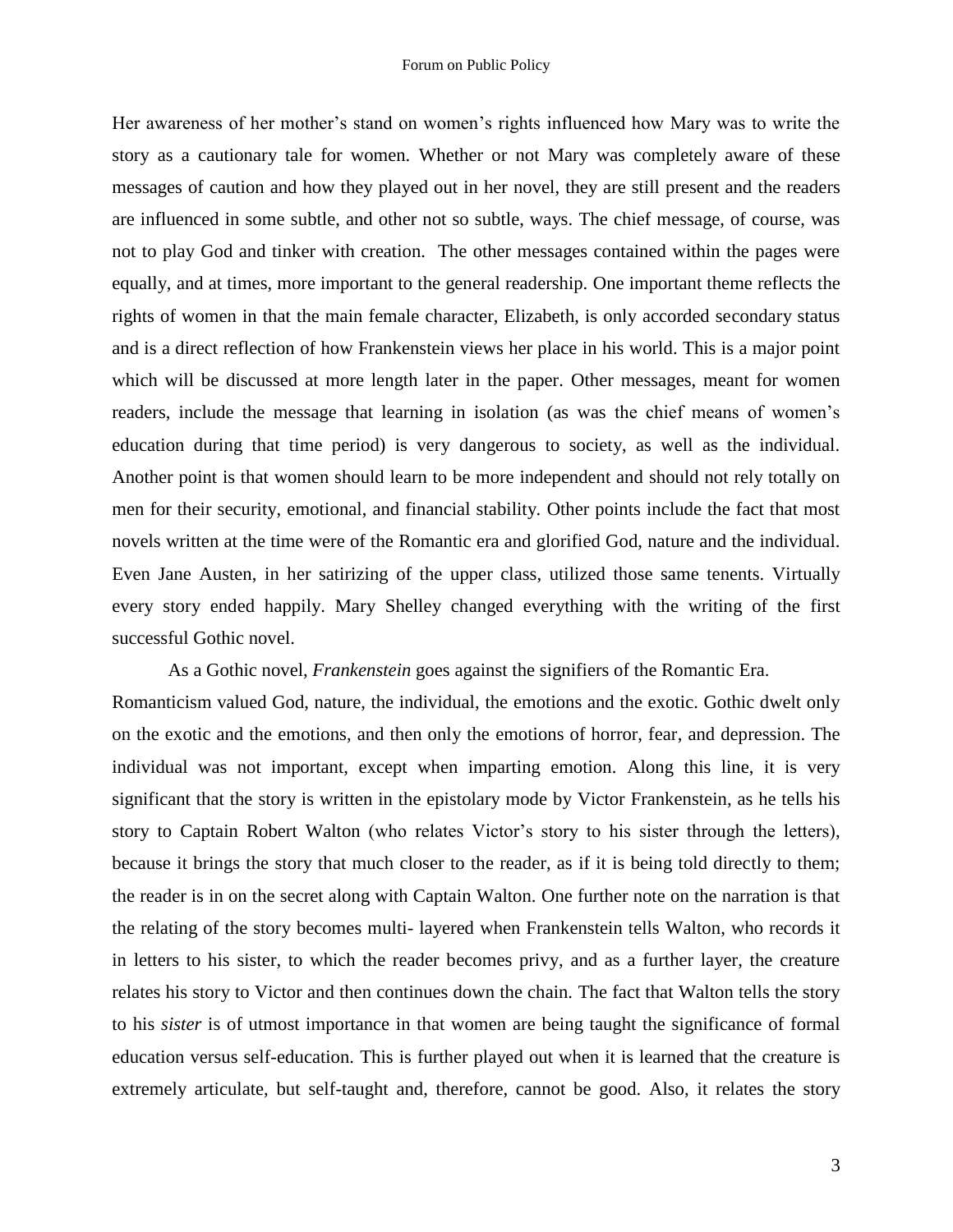Her awareness of her mother's stand on women's rights influenced how Mary was to write the story as a cautionary tale for women. Whether or not Mary was completely aware of these messages of caution and how they played out in her novel, they are still present and the readers are influenced in some subtle, and other not so subtle, ways. The chief message, of course, was not to play God and tinker with creation. The other messages contained within the pages were equally, and at times, more important to the general readership. One important theme reflects the rights of women in that the main female character, Elizabeth, is only accorded secondary status and is a direct reflection of how Frankenstein views her place in his world. This is a major point which will be discussed at more length later in the paper. Other messages, meant for women readers, include the message that learning in isolation (as was the chief means of women's education during that time period) is very dangerous to society, as well as the individual. Another point is that women should learn to be more independent and should not rely totally on men for their security, emotional, and financial stability. Other points include the fact that most novels written at the time were of the Romantic era and glorified God, nature and the individual. Even Jane Austen, in her satirizing of the upper class, utilized those same tenents. Virtually every story ended happily. Mary Shelley changed everything with the writing of the first successful Gothic novel.

As a Gothic novel, *Frankenstein* goes against the signifiers of the Romantic Era.

Romanticism valued God, nature, the individual, the emotions and the exotic. Gothic dwelt only on the exotic and the emotions, and then only the emotions of horror, fear, and depression. The individual was not important, except when imparting emotion. Along this line, it is very significant that the story is written in the epistolary mode by Victor Frankenstein, as he tells his story to Captain Robert Walton (who relates Victor's story to his sister through the letters), because it brings the story that much closer to the reader, as if it is being told directly to them; the reader is in on the secret along with Captain Walton. One further note on the narration is that the relating of the story becomes multi- layered when Frankenstein tells Walton, who records it in letters to his sister, to which the reader becomes privy, and as a further layer, the creature relates his story to Victor and then continues down the chain. The fact that Walton tells the story to his *sister* is of utmost importance in that women are being taught the significance of formal education versus self-education. This is further played out when it is learned that the creature is extremely articulate, but self-taught and, therefore, cannot be good. Also, it relates the story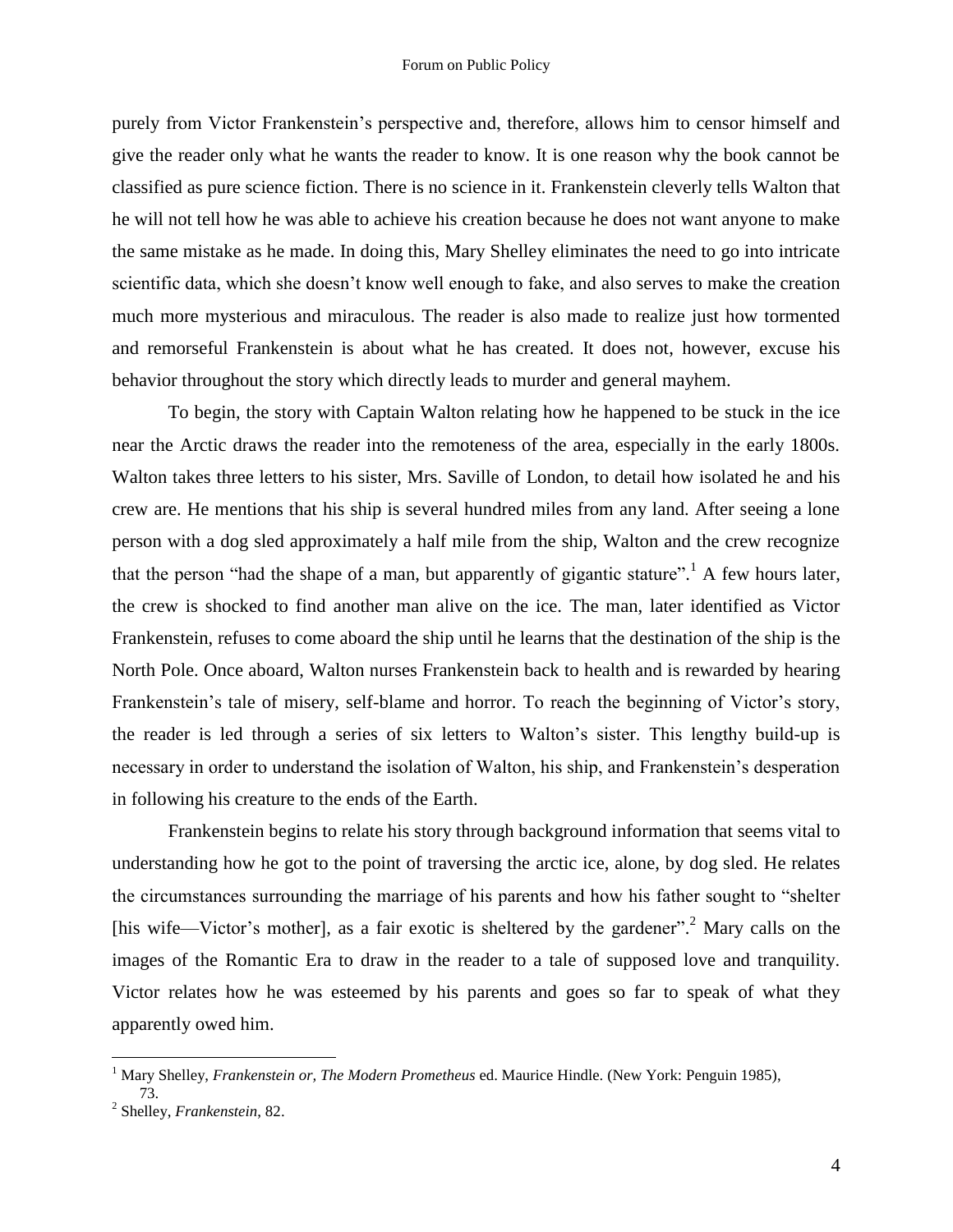purely from Victor Frankenstein's perspective and, therefore, allows him to censor himself and give the reader only what he wants the reader to know. It is one reason why the book cannot be classified as pure science fiction. There is no science in it. Frankenstein cleverly tells Walton that he will not tell how he was able to achieve his creation because he does not want anyone to make the same mistake as he made. In doing this, Mary Shelley eliminates the need to go into intricate scientific data, which she doesn't know well enough to fake, and also serves to make the creation much more mysterious and miraculous. The reader is also made to realize just how tormented and remorseful Frankenstein is about what he has created. It does not, however, excuse his behavior throughout the story which directly leads to murder and general mayhem.

To begin, the story with Captain Walton relating how he happened to be stuck in the ice near the Arctic draws the reader into the remoteness of the area, especially in the early 1800s. Walton takes three letters to his sister, Mrs. Saville of London, to detail how isolated he and his crew are. He mentions that his ship is several hundred miles from any land. After seeing a lone person with a dog sled approximately a half mile from the ship, Walton and the crew recognize that the person "had the shape of a man, but apparently of gigantic stature".<sup>1</sup> A few hours later, the crew is shocked to find another man alive on the ice. The man, later identified as Victor Frankenstein, refuses to come aboard the ship until he learns that the destination of the ship is the North Pole. Once aboard, Walton nurses Frankenstein back to health and is rewarded by hearing Frankenstein's tale of misery, self-blame and horror. To reach the beginning of Victor's story, the reader is led through a series of six letters to Walton's sister. This lengthy build-up is necessary in order to understand the isolation of Walton, his ship, and Frankenstein's desperation in following his creature to the ends of the Earth.

Frankenstein begins to relate his story through background information that seems vital to understanding how he got to the point of traversing the arctic ice, alone, by dog sled. He relates the circumstances surrounding the marriage of his parents and how his father sought to "shelter [his wife—Victor's mother], as a fair exotic is sheltered by the gardener".<sup>2</sup> Mary calls on the images of the Romantic Era to draw in the reader to a tale of supposed love and tranquility. Victor relates how he was esteemed by his parents and goes so far to speak of what they apparently owed him.

<sup>1</sup> Mary Shelley, *Frankenstein or, The Modern Prometheus* ed. Maurice Hindle. (New York: Penguin 1985), 73.

<sup>2</sup> Shelley, *Frankenstein*, 82.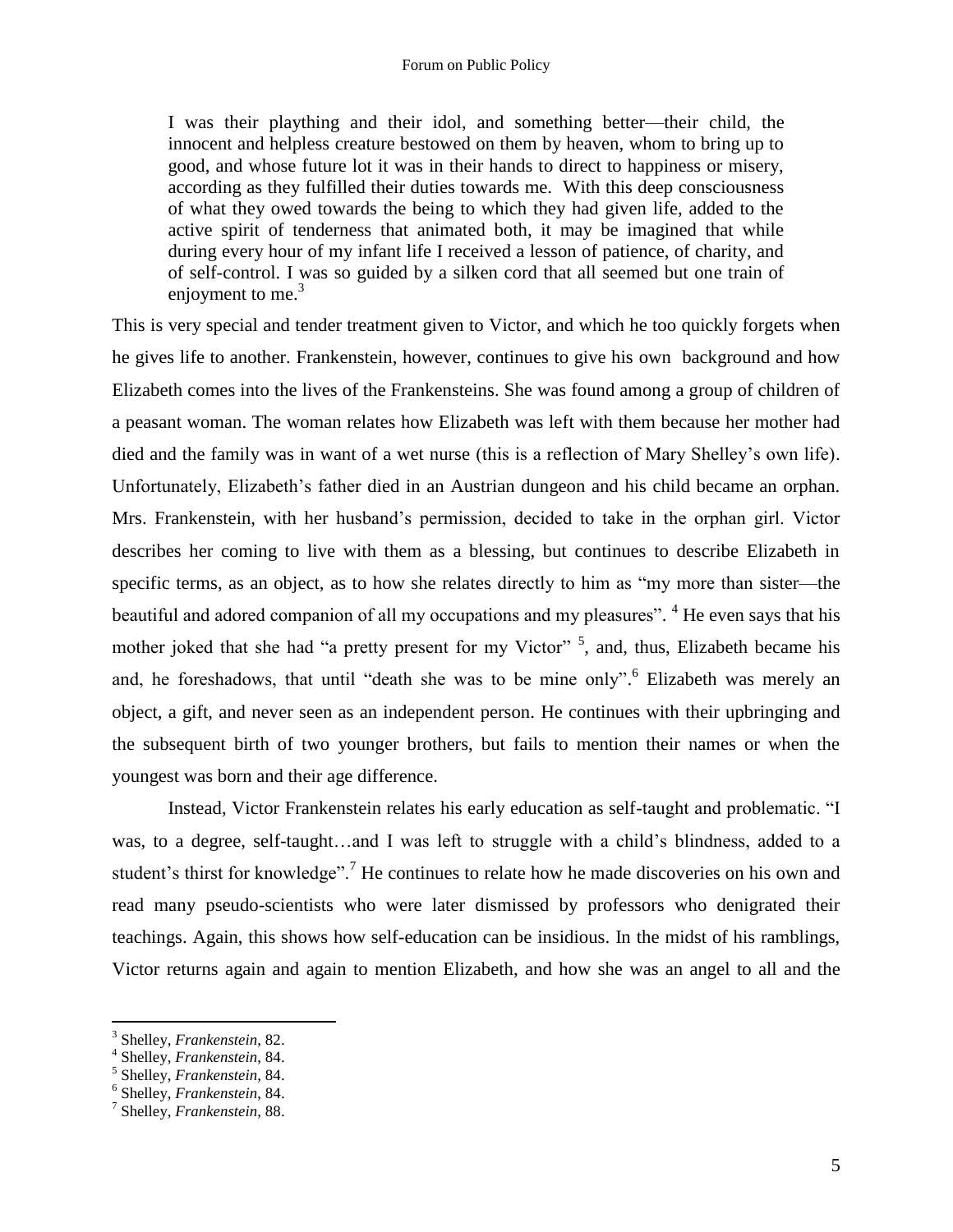## Forum on Public Policy

I was their plaything and their idol, and something better—their child, the innocent and helpless creature bestowed on them by heaven, whom to bring up to good, and whose future lot it was in their hands to direct to happiness or misery, according as they fulfilled their duties towards me. With this deep consciousness of what they owed towards the being to which they had given life, added to the active spirit of tenderness that animated both, it may be imagined that while during every hour of my infant life I received a lesson of patience, of charity, and of self-control. I was so guided by a silken cord that all seemed but one train of enjoyment to me. $3$ 

This is very special and tender treatment given to Victor, and which he too quickly forgets when he gives life to another. Frankenstein, however, continues to give his own background and how Elizabeth comes into the lives of the Frankensteins. She was found among a group of children of a peasant woman. The woman relates how Elizabeth was left with them because her mother had died and the family was in want of a wet nurse (this is a reflection of Mary Shelley's own life). Unfortunately, Elizabeth's father died in an Austrian dungeon and his child became an orphan. Mrs. Frankenstein, with her husband's permission, decided to take in the orphan girl. Victor describes her coming to live with them as a blessing, but continues to describe Elizabeth in specific terms, as an object, as to how she relates directly to him as "my more than sister—the beautiful and adored companion of all my occupations and my pleasures". <sup>4</sup> He even says that his mother joked that she had "a pretty present for my Victor"<sup>5</sup>, and, thus, Elizabeth became his and, he foreshadows, that until "death she was to be mine only".<sup>6</sup> Elizabeth was merely an object, a gift, and never seen as an independent person. He continues with their upbringing and the subsequent birth of two younger brothers, but fails to mention their names or when the youngest was born and their age difference.

Instead, Victor Frankenstein relates his early education as self-taught and problematic. "I was, to a degree, self-taught…and I was left to struggle with a child's blindness, added to a student's thirst for knowledge".<sup>7</sup> He continues to relate how he made discoveries on his own and read many pseudo-scientists who were later dismissed by professors who denigrated their teachings. Again, this shows how self-education can be insidious. In the midst of his ramblings, Victor returns again and again to mention Elizabeth, and how she was an angel to all and the

<sup>3</sup> Shelley, *Frankenstein*, 82.

<sup>4</sup> Shelley, *Frankenstein*, 84.

<sup>5</sup> Shelley, *Frankenstein*, 84.

<sup>6</sup> Shelley, *Frankenstein*, 84.

<sup>7</sup> Shelley, *Frankenstein*, 88.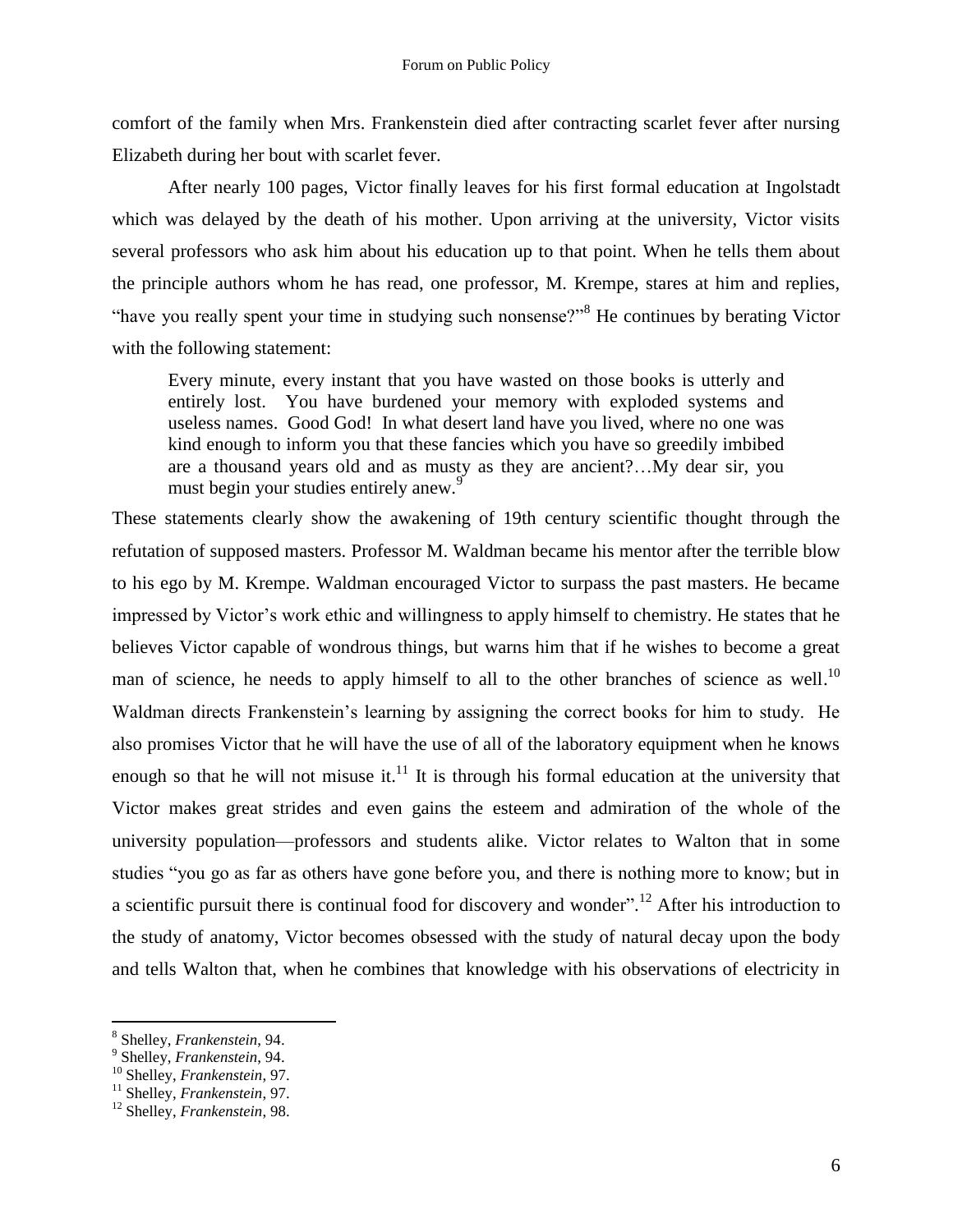comfort of the family when Mrs. Frankenstein died after contracting scarlet fever after nursing Elizabeth during her bout with scarlet fever.

After nearly 100 pages, Victor finally leaves for his first formal education at Ingolstadt which was delayed by the death of his mother. Upon arriving at the university, Victor visits several professors who ask him about his education up to that point. When he tells them about the principle authors whom he has read, one professor, M. Krempe, stares at him and replies, "have you really spent your time in studying such nonsense?"<sup>8</sup> He continues by berating Victor with the following statement:

Every minute, every instant that you have wasted on those books is utterly and entirely lost. You have burdened your memory with exploded systems and useless names. Good God! In what desert land have you lived, where no one was kind enough to inform you that these fancies which you have so greedily imbibed are a thousand years old and as musty as they are ancient?…My dear sir, you must begin your studies entirely anew.<sup>9</sup>

These statements clearly show the awakening of 19th century scientific thought through the refutation of supposed masters. Professor M. Waldman became his mentor after the terrible blow to his ego by M. Krempe. Waldman encouraged Victor to surpass the past masters. He became impressed by Victor's work ethic and willingness to apply himself to chemistry. He states that he believes Victor capable of wondrous things, but warns him that if he wishes to become a great man of science, he needs to apply himself to all to the other branches of science as well.<sup>10</sup> Waldman directs Frankenstein's learning by assigning the correct books for him to study. He also promises Victor that he will have the use of all of the laboratory equipment when he knows enough so that he will not misuse it. $11$  It is through his formal education at the university that Victor makes great strides and even gains the esteem and admiration of the whole of the university population—professors and students alike. Victor relates to Walton that in some studies "you go as far as others have gone before you, and there is nothing more to know; but in a scientific pursuit there is continual food for discovery and wonder".<sup>12</sup> After his introduction to the study of anatomy, Victor becomes obsessed with the study of natural decay upon the body and tells Walton that, when he combines that knowledge with his observations of electricity in

<sup>8</sup> Shelley, *Frankenstein*, 94.

<sup>9</sup> Shelley, *Frankenstein*, 94.

<sup>10</sup> Shelley, *Frankenstein*, 97.

<sup>11</sup> Shelley, *Frankenstein*, 97.

<sup>12</sup> Shelley, *Frankenstein*, 98.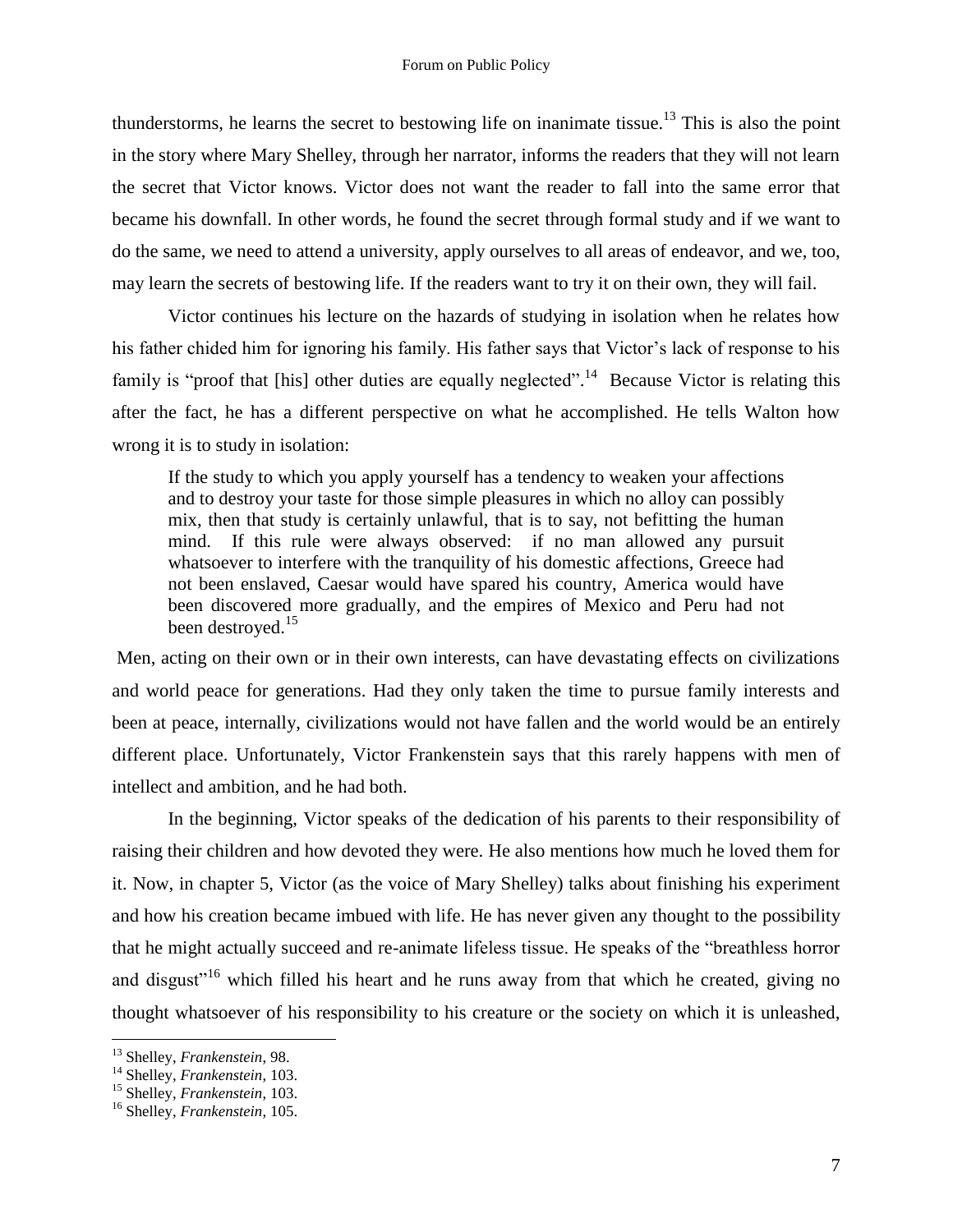thunderstorms, he learns the secret to bestowing life on inanimate tissue.<sup>13</sup> This is also the point in the story where Mary Shelley, through her narrator, informs the readers that they will not learn the secret that Victor knows. Victor does not want the reader to fall into the same error that became his downfall. In other words, he found the secret through formal study and if we want to do the same, we need to attend a university, apply ourselves to all areas of endeavor, and we, too, may learn the secrets of bestowing life. If the readers want to try it on their own, they will fail.

Victor continues his lecture on the hazards of studying in isolation when he relates how his father chided him for ignoring his family. His father says that Victor's lack of response to his family is "proof that [his] other duties are equally neglected".<sup>14</sup> Because Victor is relating this after the fact, he has a different perspective on what he accomplished. He tells Walton how wrong it is to study in isolation:

If the study to which you apply yourself has a tendency to weaken your affections and to destroy your taste for those simple pleasures in which no alloy can possibly mix, then that study is certainly unlawful, that is to say, not befitting the human mind. If this rule were always observed: if no man allowed any pursuit whatsoever to interfere with the tranquility of his domestic affections, Greece had not been enslaved, Caesar would have spared his country, America would have been discovered more gradually, and the empires of Mexico and Peru had not been destroyed.<sup>15</sup>

Men, acting on their own or in their own interests, can have devastating effects on civilizations and world peace for generations. Had they only taken the time to pursue family interests and been at peace, internally, civilizations would not have fallen and the world would be an entirely different place. Unfortunately, Victor Frankenstein says that this rarely happens with men of intellect and ambition, and he had both.

In the beginning, Victor speaks of the dedication of his parents to their responsibility of raising their children and how devoted they were. He also mentions how much he loved them for it. Now, in chapter 5, Victor (as the voice of Mary Shelley) talks about finishing his experiment and how his creation became imbued with life. He has never given any thought to the possibility that he might actually succeed and re-animate lifeless tissue. He speaks of the "breathless horror and disgust<sup> $16$ </sup> which filled his heart and he runs away from that which he created, giving no thought whatsoever of his responsibility to his creature or the society on which it is unleashed,

<sup>13</sup> Shelley, *Frankenstein*, 98.

<sup>14</sup> Shelley, *Frankenstein*, 103.

<sup>15</sup> Shelley, *Frankenstein*, 103.

<sup>16</sup> Shelley, *Frankenstein*, 105.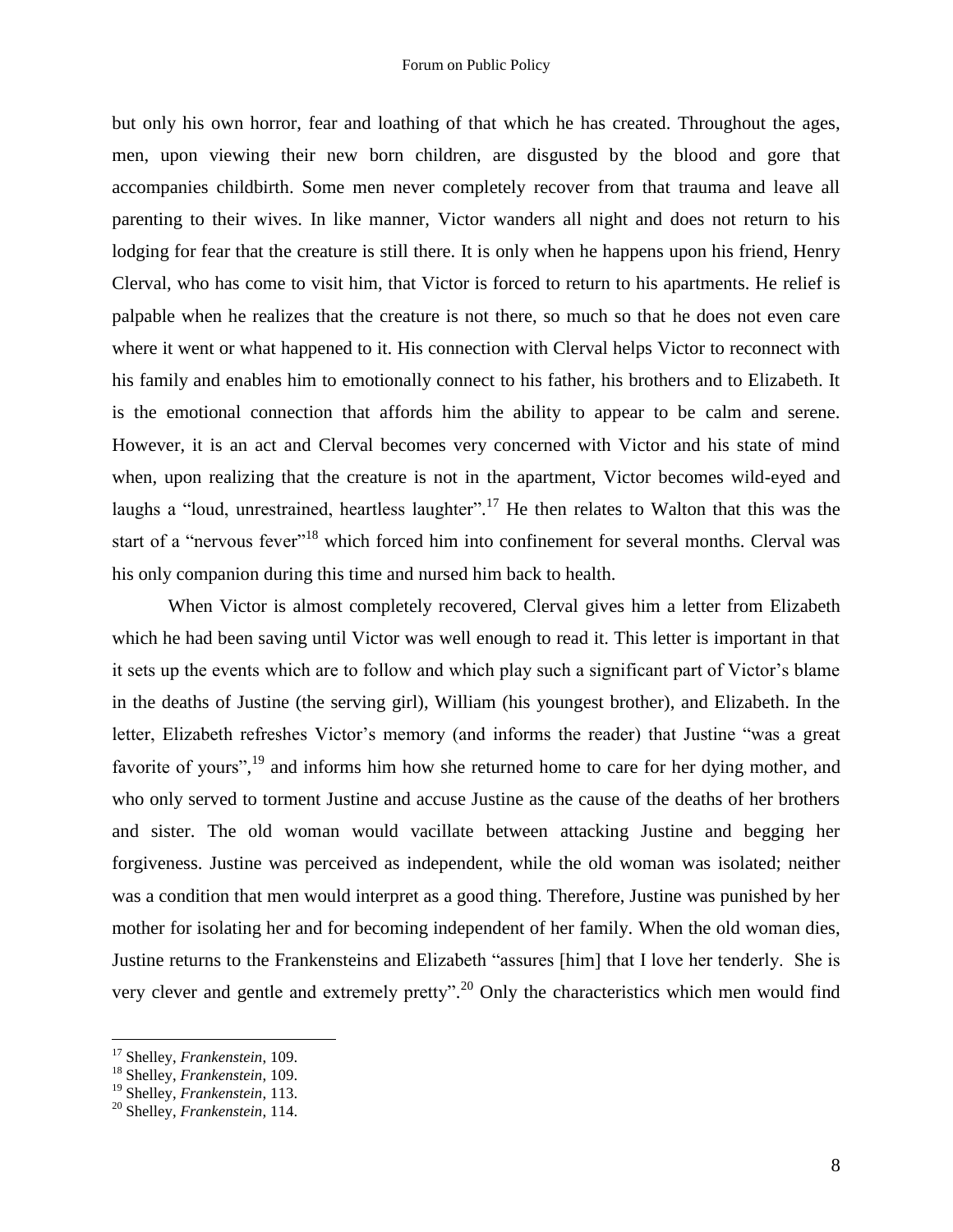but only his own horror, fear and loathing of that which he has created. Throughout the ages, men, upon viewing their new born children, are disgusted by the blood and gore that accompanies childbirth. Some men never completely recover from that trauma and leave all parenting to their wives. In like manner, Victor wanders all night and does not return to his lodging for fear that the creature is still there. It is only when he happens upon his friend, Henry Clerval, who has come to visit him, that Victor is forced to return to his apartments. He relief is palpable when he realizes that the creature is not there, so much so that he does not even care where it went or what happened to it. His connection with Clerval helps Victor to reconnect with his family and enables him to emotionally connect to his father, his brothers and to Elizabeth. It is the emotional connection that affords him the ability to appear to be calm and serene. However, it is an act and Clerval becomes very concerned with Victor and his state of mind when, upon realizing that the creature is not in the apartment, Victor becomes wild-eyed and laughs a "loud, unrestrained, heartless laughter".<sup>17</sup> He then relates to Walton that this was the start of a "nervous fever"<sup>18</sup> which forced him into confinement for several months. Clerval was his only companion during this time and nursed him back to health.

When Victor is almost completely recovered, Clerval gives him a letter from Elizabeth which he had been saving until Victor was well enough to read it. This letter is important in that it sets up the events which are to follow and which play such a significant part of Victor's blame in the deaths of Justine (the serving girl), William (his youngest brother), and Elizabeth. In the letter, Elizabeth refreshes Victor's memory (and informs the reader) that Justine "was a great favorite of yours",<sup>19</sup> and informs him how she returned home to care for her dying mother, and who only served to torment Justine and accuse Justine as the cause of the deaths of her brothers and sister. The old woman would vacillate between attacking Justine and begging her forgiveness. Justine was perceived as independent, while the old woman was isolated; neither was a condition that men would interpret as a good thing. Therefore, Justine was punished by her mother for isolating her and for becoming independent of her family. When the old woman dies, Justine returns to the Frankensteins and Elizabeth "assures [him] that I love her tenderly. She is very clever and gentle and extremely pretty".<sup>20</sup> Only the characteristics which men would find

<sup>17</sup> Shelley, *Frankenstein*, 109.

<sup>18</sup> Shelley, *Frankenstein*, 109.

<sup>19</sup> Shelley, *Frankenstein*, 113.

<sup>20</sup> Shelley, *Frankenstein*, 114.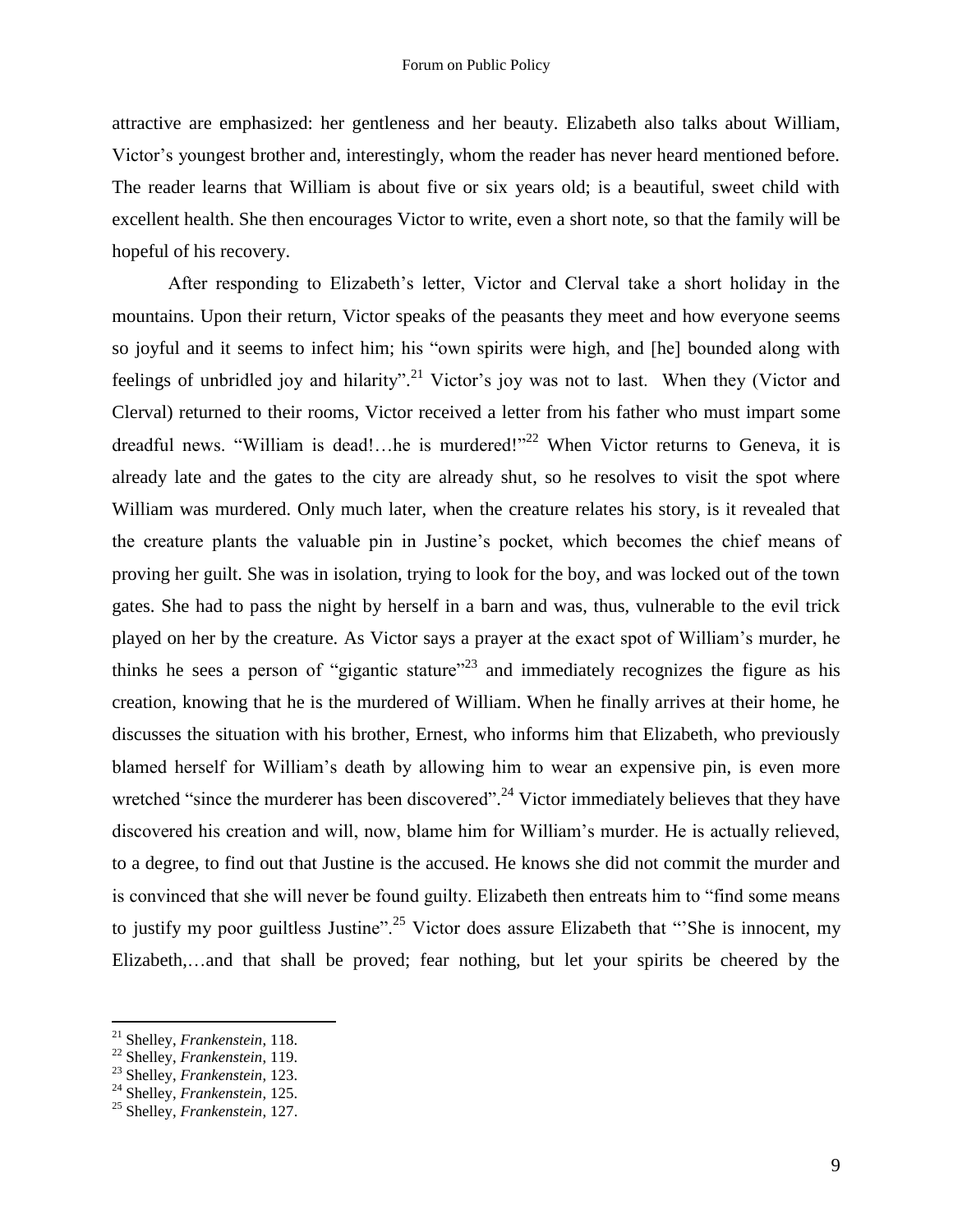attractive are emphasized: her gentleness and her beauty. Elizabeth also talks about William, Victor's youngest brother and, interestingly, whom the reader has never heard mentioned before. The reader learns that William is about five or six years old; is a beautiful, sweet child with excellent health. She then encourages Victor to write, even a short note, so that the family will be hopeful of his recovery.

After responding to Elizabeth's letter, Victor and Clerval take a short holiday in the mountains. Upon their return, Victor speaks of the peasants they meet and how everyone seems so joyful and it seems to infect him; his "own spirits were high, and [he] bounded along with feelings of unbridled joy and hilarity".<sup>21</sup> Victor's joy was not to last. When they (Victor and Clerval) returned to their rooms, Victor received a letter from his father who must impart some dreadful news. "William is dead!...he is murdered!"<sup>22</sup> When Victor returns to Geneva, it is already late and the gates to the city are already shut, so he resolves to visit the spot where William was murdered. Only much later, when the creature relates his story, is it revealed that the creature plants the valuable pin in Justine's pocket, which becomes the chief means of proving her guilt. She was in isolation, trying to look for the boy, and was locked out of the town gates. She had to pass the night by herself in a barn and was, thus, vulnerable to the evil trick played on her by the creature. As Victor says a prayer at the exact spot of William's murder, he thinks he sees a person of "gigantic stature"<sup>23</sup> and immediately recognizes the figure as his creation, knowing that he is the murdered of William. When he finally arrives at their home, he discusses the situation with his brother, Ernest, who informs him that Elizabeth, who previously blamed herself for William's death by allowing him to wear an expensive pin, is even more wretched "since the murderer has been discovered".<sup>24</sup> Victor immediately believes that they have discovered his creation and will, now, blame him for William's murder. He is actually relieved, to a degree, to find out that Justine is the accused. He knows she did not commit the murder and is convinced that she will never be found guilty. Elizabeth then entreats him to "find some means to justify my poor guiltless Justine".<sup>25</sup> Victor does assure Elizabeth that "She is innocent, my Elizabeth,…and that shall be proved; fear nothing, but let your spirits be cheered by the

<sup>21</sup> Shelley, *Frankenstein*, 118.

<sup>22</sup> Shelley, *Frankenstein*, 119.

<sup>23</sup> Shelley, *Frankenstein*, 123.

<sup>24</sup> Shelley, *Frankenstein*, 125.

<sup>25</sup> Shelley, *Frankenstein*, 127.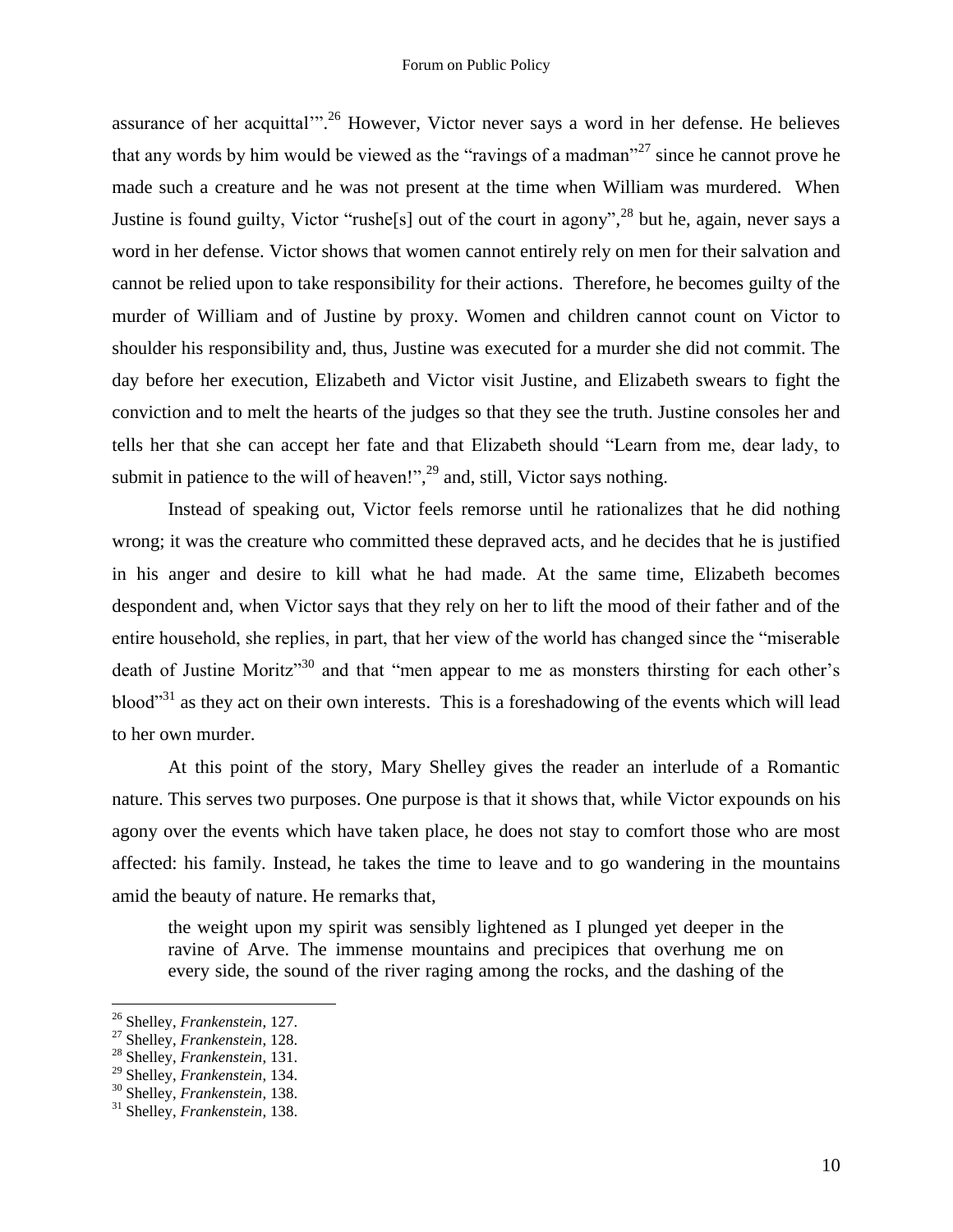assurance of her acquittal"<sup>26</sup> However, Victor never says a word in her defense. He believes that any words by him would be viewed as the "ravings of a madman"<sup>27</sup> since he cannot prove he made such a creature and he was not present at the time when William was murdered. When Justine is found guilty, Victor "rushe<sup>[5]</sup> out of the court in agony",<sup>28</sup> but he, again, never says a word in her defense. Victor shows that women cannot entirely rely on men for their salvation and cannot be relied upon to take responsibility for their actions. Therefore, he becomes guilty of the murder of William and of Justine by proxy. Women and children cannot count on Victor to shoulder his responsibility and, thus, Justine was executed for a murder she did not commit. The day before her execution, Elizabeth and Victor visit Justine, and Elizabeth swears to fight the conviction and to melt the hearts of the judges so that they see the truth. Justine consoles her and tells her that she can accept her fate and that Elizabeth should "Learn from me, dear lady, to submit in patience to the will of heaven!",<sup>29</sup> and, still, Victor says nothing.

Instead of speaking out, Victor feels remorse until he rationalizes that he did nothing wrong; it was the creature who committed these depraved acts, and he decides that he is justified in his anger and desire to kill what he had made. At the same time, Elizabeth becomes despondent and, when Victor says that they rely on her to lift the mood of their father and of the entire household, she replies, in part, that her view of the world has changed since the "miserable death of Justine Moritz<sup>"30</sup> and that "men appear to me as monsters thirsting for each other's blood<sup>"31</sup> as they act on their own interests. This is a foreshadowing of the events which will lead to her own murder.

At this point of the story, Mary Shelley gives the reader an interlude of a Romantic nature. This serves two purposes. One purpose is that it shows that, while Victor expounds on his agony over the events which have taken place, he does not stay to comfort those who are most affected: his family. Instead, he takes the time to leave and to go wandering in the mountains amid the beauty of nature. He remarks that,

the weight upon my spirit was sensibly lightened as I plunged yet deeper in the ravine of Arve. The immense mountains and precipices that overhung me on every side, the sound of the river raging among the rocks, and the dashing of the

<sup>26</sup> Shelley, *Frankenstein*, 127.

<sup>27</sup> Shelley, *Frankenstein*, 128.

<sup>28</sup> Shelley, *Frankenstein*, 131.

<sup>29</sup> Shelley, *Frankenstein*, 134.

<sup>30</sup> Shelley, *Frankenstein*, 138.

<sup>31</sup> Shelley, *Frankenstein*, 138.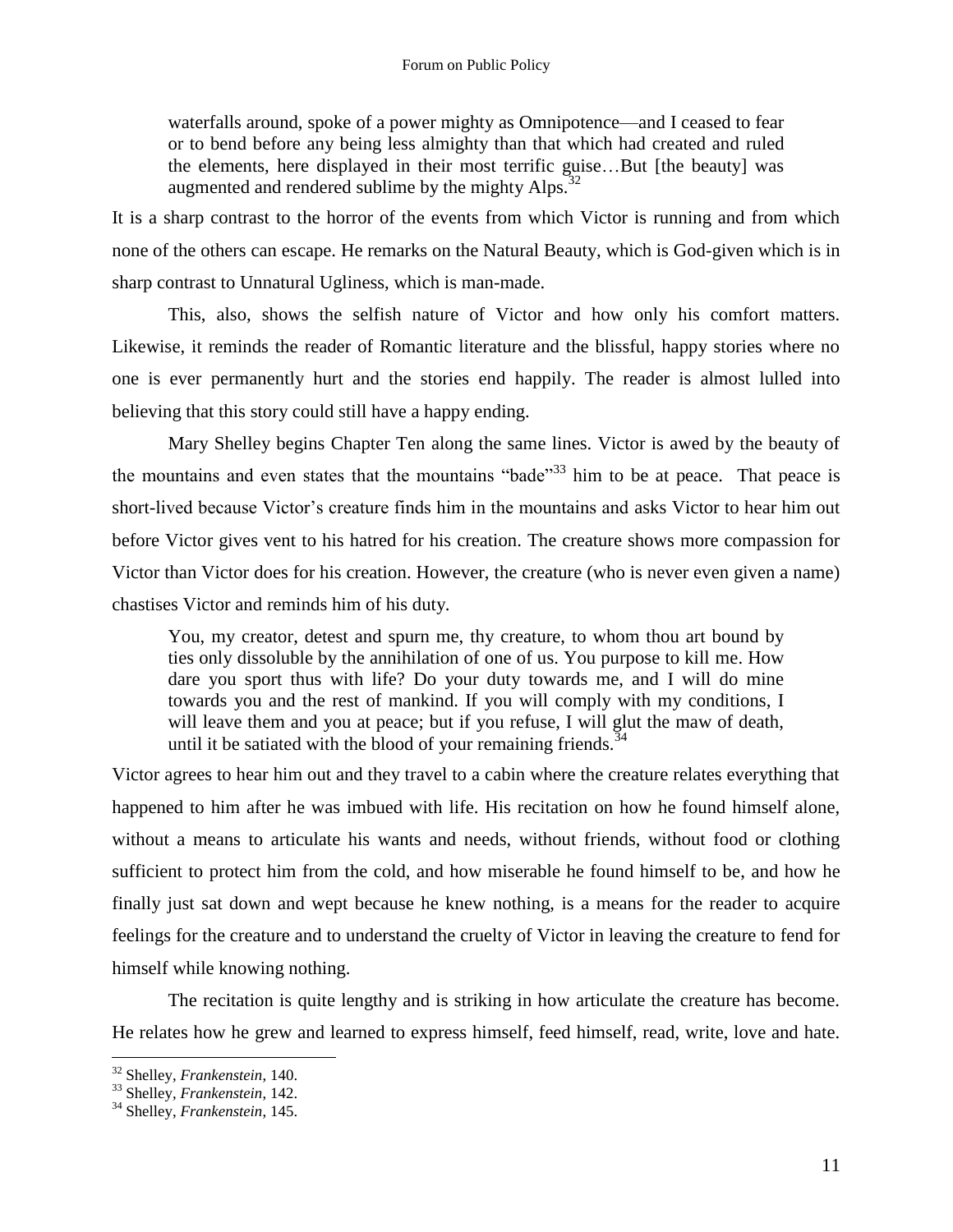waterfalls around, spoke of a power mighty as Omnipotence—and I ceased to fear or to bend before any being less almighty than that which had created and ruled the elements, here displayed in their most terrific guise…But [the beauty] was augmented and rendered sublime by the mighty  $Alps.^{32}$ 

It is a sharp contrast to the horror of the events from which Victor is running and from which none of the others can escape. He remarks on the Natural Beauty, which is God-given which is in sharp contrast to Unnatural Ugliness, which is man-made.

This, also, shows the selfish nature of Victor and how only his comfort matters. Likewise, it reminds the reader of Romantic literature and the blissful, happy stories where no one is ever permanently hurt and the stories end happily. The reader is almost lulled into believing that this story could still have a happy ending.

Mary Shelley begins Chapter Ten along the same lines. Victor is awed by the beauty of the mountains and even states that the mountains "bade"<sup>33</sup> him to be at peace. That peace is short-lived because Victor's creature finds him in the mountains and asks Victor to hear him out before Victor gives vent to his hatred for his creation. The creature shows more compassion for Victor than Victor does for his creation. However, the creature (who is never even given a name) chastises Victor and reminds him of his duty.

You, my creator, detest and spurn me, thy creature, to whom thou art bound by ties only dissoluble by the annihilation of one of us. You purpose to kill me. How dare you sport thus with life? Do your duty towards me, and I will do mine towards you and the rest of mankind. If you will comply with my conditions, I will leave them and you at peace; but if you refuse, I will glut the maw of death, until it be satiated with the blood of your remaining friends.<sup>34</sup>

Victor agrees to hear him out and they travel to a cabin where the creature relates everything that happened to him after he was imbued with life. His recitation on how he found himself alone, without a means to articulate his wants and needs, without friends, without food or clothing sufficient to protect him from the cold, and how miserable he found himself to be, and how he finally just sat down and wept because he knew nothing, is a means for the reader to acquire feelings for the creature and to understand the cruelty of Victor in leaving the creature to fend for himself while knowing nothing.

The recitation is quite lengthy and is striking in how articulate the creature has become. He relates how he grew and learned to express himself, feed himself, read, write, love and hate.

<sup>32</sup> Shelley, *Frankenstein*, 140.

<sup>33</sup> Shelley, *Frankenstein*, 142.

<sup>34</sup> Shelley, *Frankenstein*, 145.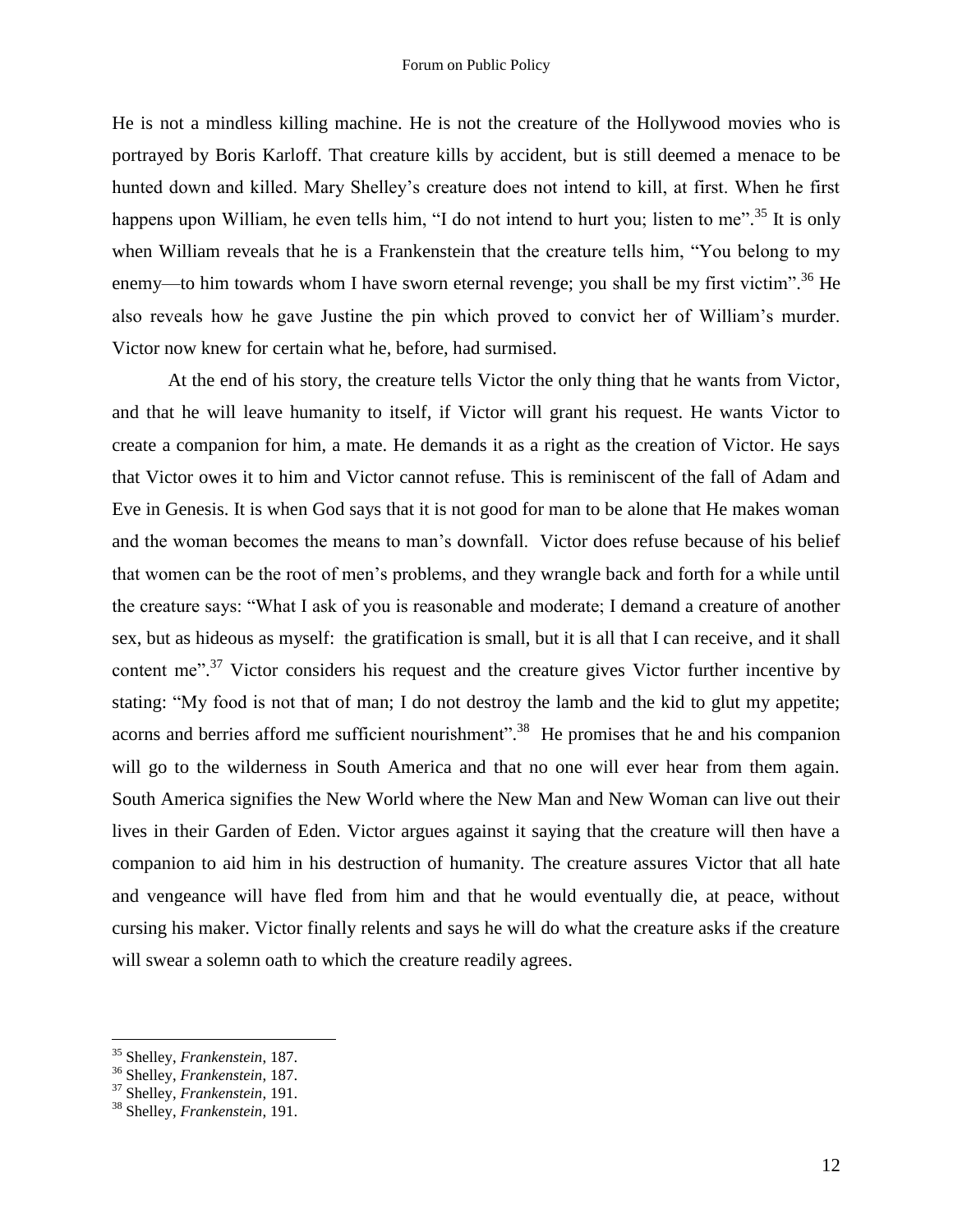He is not a mindless killing machine. He is not the creature of the Hollywood movies who is portrayed by Boris Karloff. That creature kills by accident, but is still deemed a menace to be hunted down and killed. Mary Shelley's creature does not intend to kill, at first. When he first happens upon William, he even tells him, "I do not intend to hurt you; listen to me".<sup>35</sup> It is only when William reveals that he is a Frankenstein that the creature tells him, "You belong to my enemy—to him towards whom I have sworn eternal revenge; you shall be my first victim".<sup>36</sup> He also reveals how he gave Justine the pin which proved to convict her of William's murder. Victor now knew for certain what he, before, had surmised.

At the end of his story, the creature tells Victor the only thing that he wants from Victor, and that he will leave humanity to itself, if Victor will grant his request. He wants Victor to create a companion for him, a mate. He demands it as a right as the creation of Victor. He says that Victor owes it to him and Victor cannot refuse. This is reminiscent of the fall of Adam and Eve in Genesis. It is when God says that it is not good for man to be alone that He makes woman and the woman becomes the means to man's downfall. Victor does refuse because of his belief that women can be the root of men's problems, and they wrangle back and forth for a while until the creature says: "What I ask of you is reasonable and moderate; I demand a creature of another sex, but as hideous as myself: the gratification is small, but it is all that I can receive, and it shall content me".<sup>37</sup> Victor considers his request and the creature gives Victor further incentive by stating: "My food is not that of man; I do not destroy the lamb and the kid to glut my appetite; acorns and berries afford me sufficient nourishment".<sup>38</sup> He promises that he and his companion will go to the wilderness in South America and that no one will ever hear from them again. South America signifies the New World where the New Man and New Woman can live out their lives in their Garden of Eden. Victor argues against it saying that the creature will then have a companion to aid him in his destruction of humanity. The creature assures Victor that all hate and vengeance will have fled from him and that he would eventually die, at peace, without cursing his maker. Victor finally relents and says he will do what the creature asks if the creature will swear a solemn oath to which the creature readily agrees.

<sup>35</sup> Shelley, *Frankenstein*, 187.

<sup>36</sup> Shelley, *Frankenstein*, 187.

<sup>37</sup> Shelley, *Frankenstein*, 191.

<sup>38</sup> Shelley, *Frankenstein*, 191.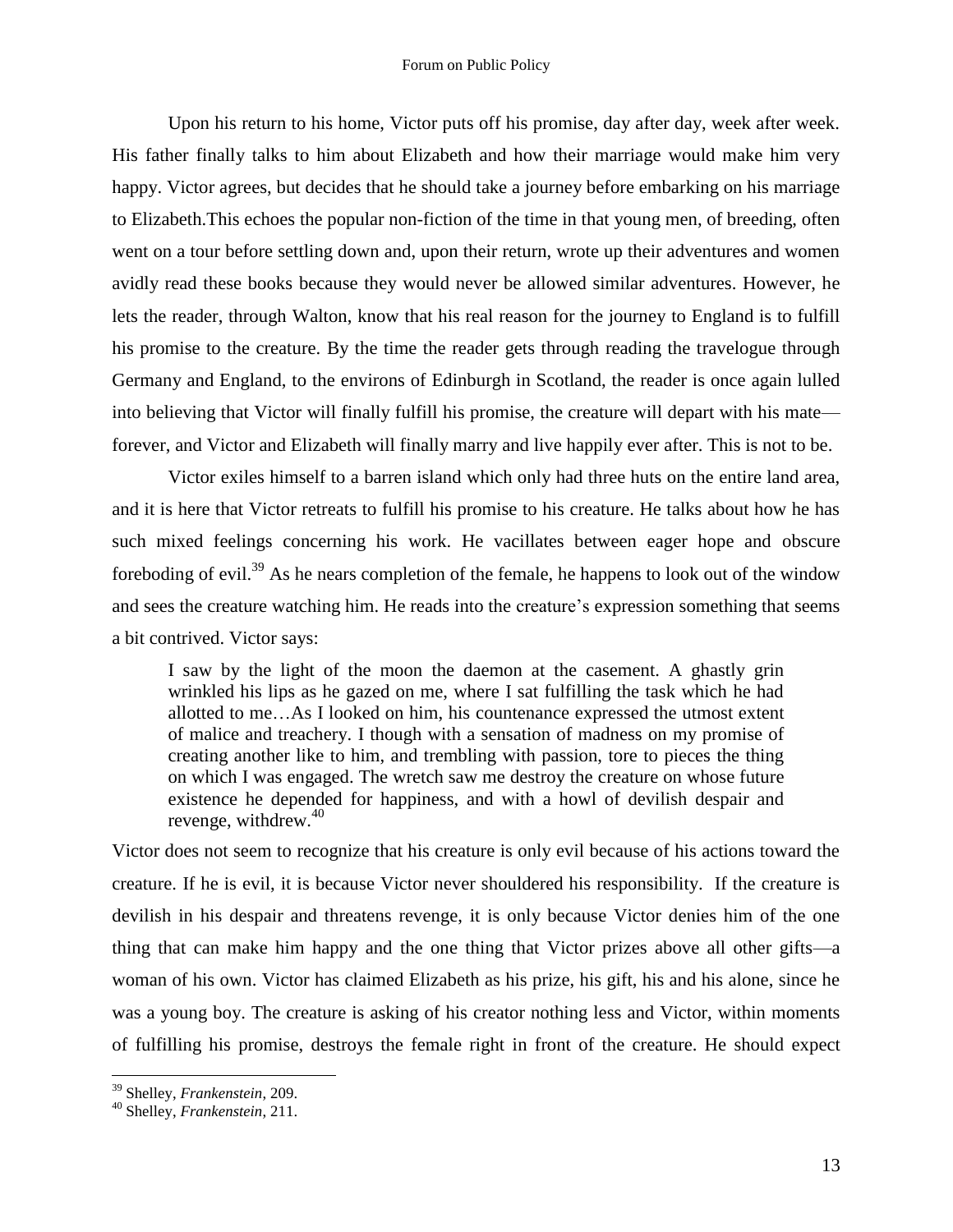Upon his return to his home, Victor puts off his promise, day after day, week after week. His father finally talks to him about Elizabeth and how their marriage would make him very happy. Victor agrees, but decides that he should take a journey before embarking on his marriage to Elizabeth.This echoes the popular non-fiction of the time in that young men, of breeding, often went on a tour before settling down and, upon their return, wrote up their adventures and women avidly read these books because they would never be allowed similar adventures. However, he lets the reader, through Walton, know that his real reason for the journey to England is to fulfill his promise to the creature. By the time the reader gets through reading the travelogue through Germany and England, to the environs of Edinburgh in Scotland, the reader is once again lulled into believing that Victor will finally fulfill his promise, the creature will depart with his mate forever, and Victor and Elizabeth will finally marry and live happily ever after. This is not to be.

Victor exiles himself to a barren island which only had three huts on the entire land area, and it is here that Victor retreats to fulfill his promise to his creature. He talks about how he has such mixed feelings concerning his work. He vacillates between eager hope and obscure foreboding of evil.<sup>39</sup> As he nears completion of the female, he happens to look out of the window and sees the creature watching him. He reads into the creature's expression something that seems a bit contrived. Victor says:

I saw by the light of the moon the daemon at the casement. A ghastly grin wrinkled his lips as he gazed on me, where I sat fulfilling the task which he had allotted to me…As I looked on him, his countenance expressed the utmost extent of malice and treachery. I though with a sensation of madness on my promise of creating another like to him, and trembling with passion, tore to pieces the thing on which I was engaged. The wretch saw me destroy the creature on whose future existence he depended for happiness, and with a howl of devilish despair and revenge, withdrew. $40$ 

Victor does not seem to recognize that his creature is only evil because of his actions toward the creature. If he is evil, it is because Victor never shouldered his responsibility. If the creature is devilish in his despair and threatens revenge, it is only because Victor denies him of the one thing that can make him happy and the one thing that Victor prizes above all other gifts—a woman of his own. Victor has claimed Elizabeth as his prize, his gift, his and his alone, since he was a young boy. The creature is asking of his creator nothing less and Victor, within moments of fulfilling his promise, destroys the female right in front of the creature. He should expect

<sup>39</sup> Shelley, *Frankenstein*, 209.

<sup>40</sup> Shelley, *Frankenstein*, 211.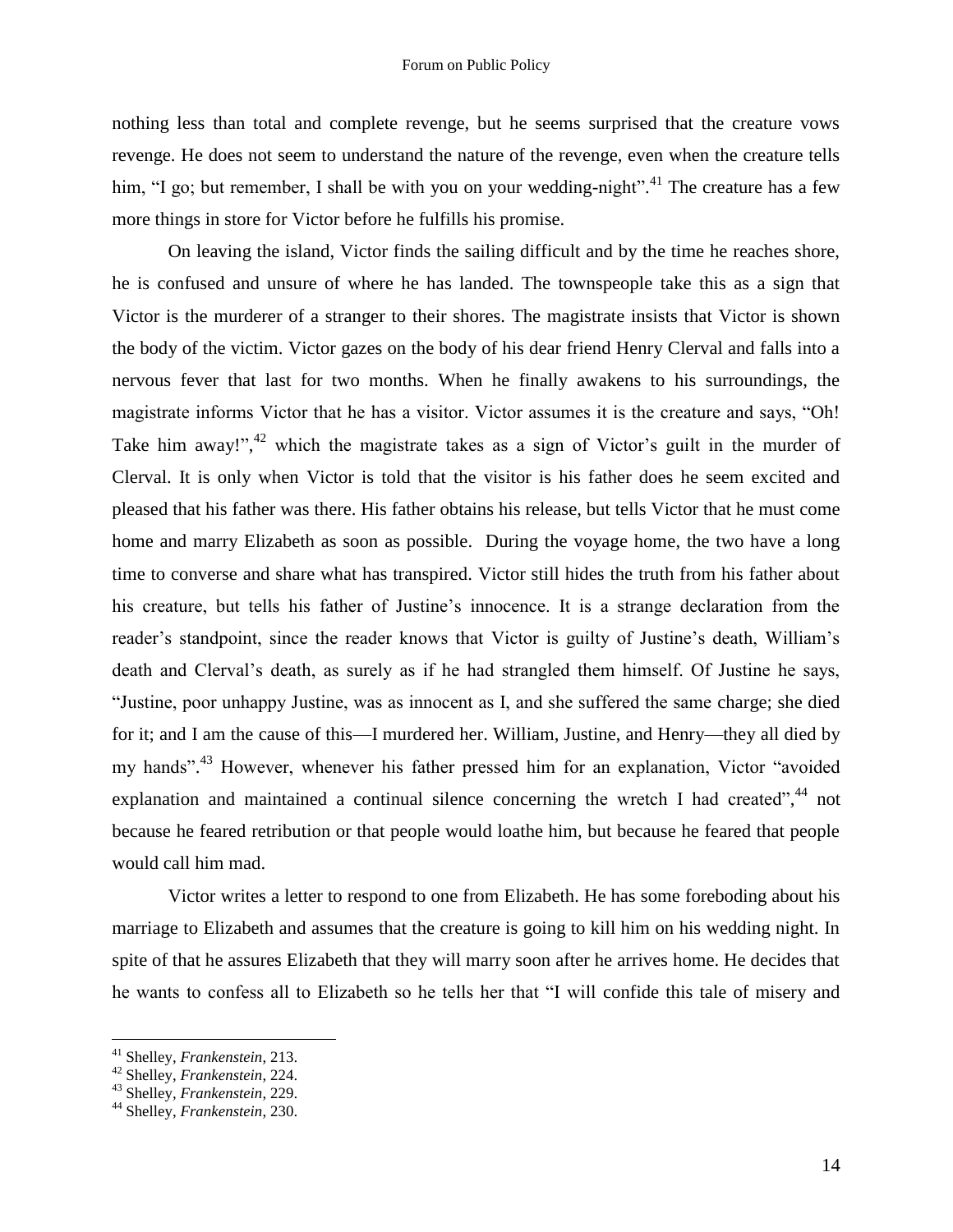nothing less than total and complete revenge, but he seems surprised that the creature vows revenge. He does not seem to understand the nature of the revenge, even when the creature tells him, "I go; but remember, I shall be with you on your wedding-night".<sup>41</sup> The creature has a few more things in store for Victor before he fulfills his promise.

On leaving the island, Victor finds the sailing difficult and by the time he reaches shore, he is confused and unsure of where he has landed. The townspeople take this as a sign that Victor is the murderer of a stranger to their shores. The magistrate insists that Victor is shown the body of the victim. Victor gazes on the body of his dear friend Henry Clerval and falls into a nervous fever that last for two months. When he finally awakens to his surroundings, the magistrate informs Victor that he has a visitor. Victor assumes it is the creature and says, "Oh! Take him away!", $42$  which the magistrate takes as a sign of Victor's guilt in the murder of Clerval. It is only when Victor is told that the visitor is his father does he seem excited and pleased that his father was there. His father obtains his release, but tells Victor that he must come home and marry Elizabeth as soon as possible. During the voyage home, the two have a long time to converse and share what has transpired. Victor still hides the truth from his father about his creature, but tells his father of Justine's innocence. It is a strange declaration from the reader's standpoint, since the reader knows that Victor is guilty of Justine's death, William's death and Clerval's death, as surely as if he had strangled them himself. Of Justine he says, "Justine, poor unhappy Justine, was as innocent as I, and she suffered the same charge; she died for it; and I am the cause of this—I murdered her. William, Justine, and Henry—they all died by my hands".<sup>43</sup> However, whenever his father pressed him for an explanation, Victor "avoided explanation and maintained a continual silence concerning the wretch I had created",<sup>44</sup> not because he feared retribution or that people would loathe him, but because he feared that people would call him mad.

Victor writes a letter to respond to one from Elizabeth. He has some foreboding about his marriage to Elizabeth and assumes that the creature is going to kill him on his wedding night. In spite of that he assures Elizabeth that they will marry soon after he arrives home. He decides that he wants to confess all to Elizabeth so he tells her that "I will confide this tale of misery and

<sup>41</sup> Shelley, *Frankenstein*, 213.

<sup>42</sup> Shelley, *Frankenstein*, 224.

<sup>43</sup> Shelley, *Frankenstein*, 229.

<sup>44</sup> Shelley, *Frankenstein*, 230.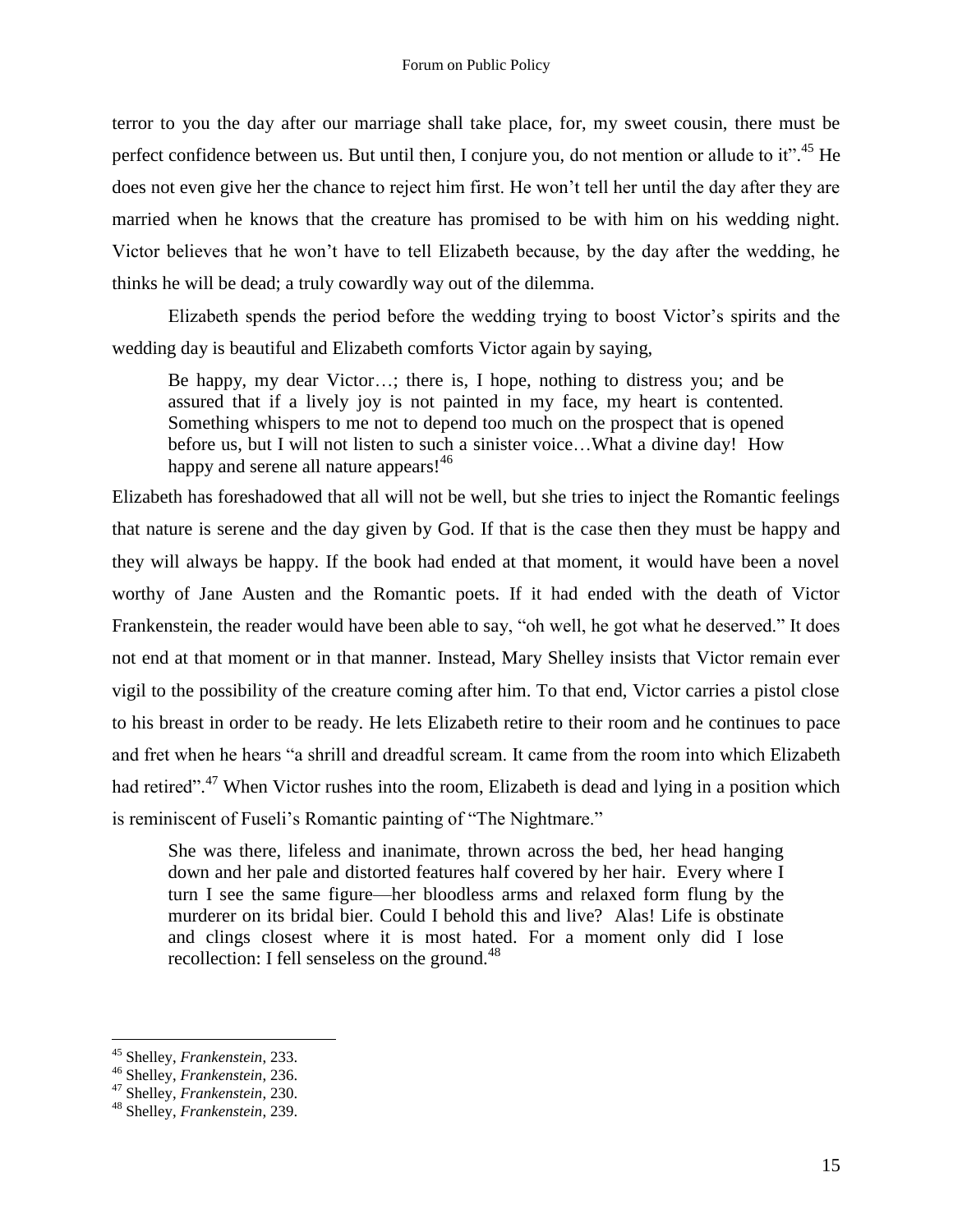terror to you the day after our marriage shall take place, for, my sweet cousin, there must be perfect confidence between us. But until then, I conjure you, do not mention or allude to it".<sup>45</sup> He does not even give her the chance to reject him first. He won't tell her until the day after they are married when he knows that the creature has promised to be with him on his wedding night. Victor believes that he won't have to tell Elizabeth because, by the day after the wedding, he thinks he will be dead; a truly cowardly way out of the dilemma.

Elizabeth spends the period before the wedding trying to boost Victor's spirits and the wedding day is beautiful and Elizabeth comforts Victor again by saying,

Be happy, my dear Victor…; there is, I hope, nothing to distress you; and be assured that if a lively joy is not painted in my face, my heart is contented. Something whispers to me not to depend too much on the prospect that is opened before us, but I will not listen to such a sinister voice…What a divine day! How happy and serene all nature appears!<sup>46</sup>

Elizabeth has foreshadowed that all will not be well, but she tries to inject the Romantic feelings that nature is serene and the day given by God. If that is the case then they must be happy and they will always be happy. If the book had ended at that moment, it would have been a novel worthy of Jane Austen and the Romantic poets. If it had ended with the death of Victor Frankenstein, the reader would have been able to say, "oh well, he got what he deserved." It does not end at that moment or in that manner. Instead, Mary Shelley insists that Victor remain ever vigil to the possibility of the creature coming after him. To that end, Victor carries a pistol close to his breast in order to be ready. He lets Elizabeth retire to their room and he continues to pace and fret when he hears "a shrill and dreadful scream. It came from the room into which Elizabeth had retired".<sup>47</sup> When Victor rushes into the room, Elizabeth is dead and lying in a position which is reminiscent of Fuseli's Romantic painting of "The Nightmare."

She was there, lifeless and inanimate, thrown across the bed, her head hanging down and her pale and distorted features half covered by her hair. Every where I turn I see the same figure—her bloodless arms and relaxed form flung by the murderer on its bridal bier. Could I behold this and live? Alas! Life is obstinate and clings closest where it is most hated. For a moment only did I lose recollection: I fell senseless on the ground.<sup>48</sup>

<sup>45</sup> Shelley, *Frankenstein*, 233.

<sup>46</sup> Shelley, *Frankenstein*, 236.

<sup>47</sup> Shelley, *Frankenstein*, 230.

<sup>48</sup> Shelley, *Frankenstein*, 239.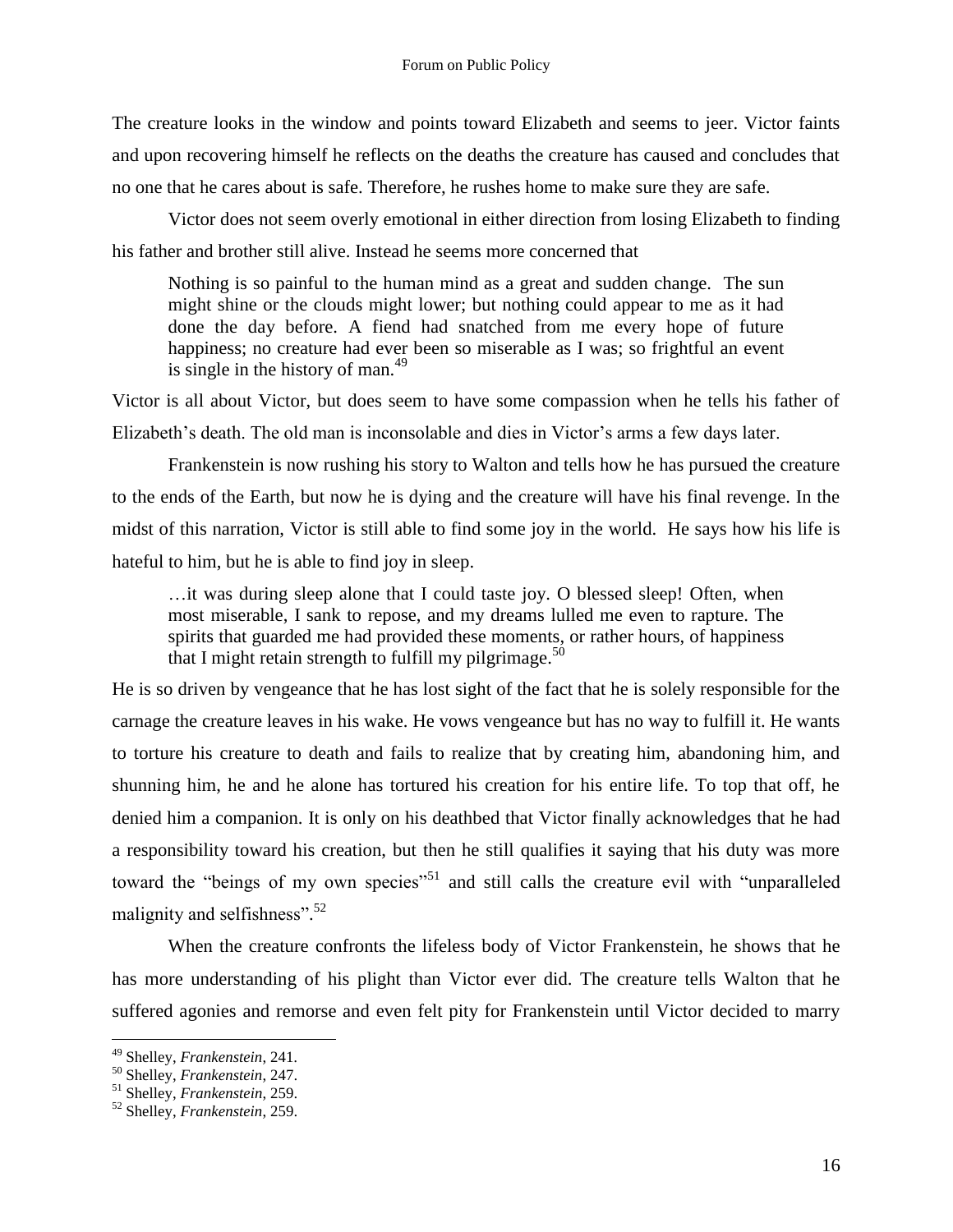The creature looks in the window and points toward Elizabeth and seems to jeer. Victor faints and upon recovering himself he reflects on the deaths the creature has caused and concludes that no one that he cares about is safe. Therefore, he rushes home to make sure they are safe.

Victor does not seem overly emotional in either direction from losing Elizabeth to finding his father and brother still alive. Instead he seems more concerned that

Nothing is so painful to the human mind as a great and sudden change. The sun might shine or the clouds might lower; but nothing could appear to me as it had done the day before. A fiend had snatched from me every hope of future happiness; no creature had ever been so miserable as I was; so frightful an event is single in the history of man.<sup>49</sup>

Victor is all about Victor, but does seem to have some compassion when he tells his father of Elizabeth's death. The old man is inconsolable and dies in Victor's arms a few days later.

Frankenstein is now rushing his story to Walton and tells how he has pursued the creature to the ends of the Earth, but now he is dying and the creature will have his final revenge. In the midst of this narration, Victor is still able to find some joy in the world. He says how his life is hateful to him, but he is able to find joy in sleep.

…it was during sleep alone that I could taste joy. O blessed sleep! Often, when most miserable, I sank to repose, and my dreams lulled me even to rapture. The spirits that guarded me had provided these moments, or rather hours, of happiness that I might retain strength to fulfill my pilgrimage.<sup>50</sup>

He is so driven by vengeance that he has lost sight of the fact that he is solely responsible for the carnage the creature leaves in his wake. He vows vengeance but has no way to fulfill it. He wants to torture his creature to death and fails to realize that by creating him, abandoning him, and shunning him, he and he alone has tortured his creation for his entire life. To top that off, he denied him a companion. It is only on his deathbed that Victor finally acknowledges that he had a responsibility toward his creation, but then he still qualifies it saying that his duty was more toward the "beings of my own species"<sup>51</sup> and still calls the creature evil with "unparalleled" malignity and selfishness".<sup>52</sup>

When the creature confronts the lifeless body of Victor Frankenstein, he shows that he has more understanding of his plight than Victor ever did. The creature tells Walton that he suffered agonies and remorse and even felt pity for Frankenstein until Victor decided to marry

<sup>49</sup> Shelley, *Frankenstein*, 241*.*

<sup>50</sup> Shelley, *Frankenstein*, 247.

<sup>51</sup> Shelley, *Frankenstein*, 259.

<sup>52</sup> Shelley, *Frankenstein*, 259.